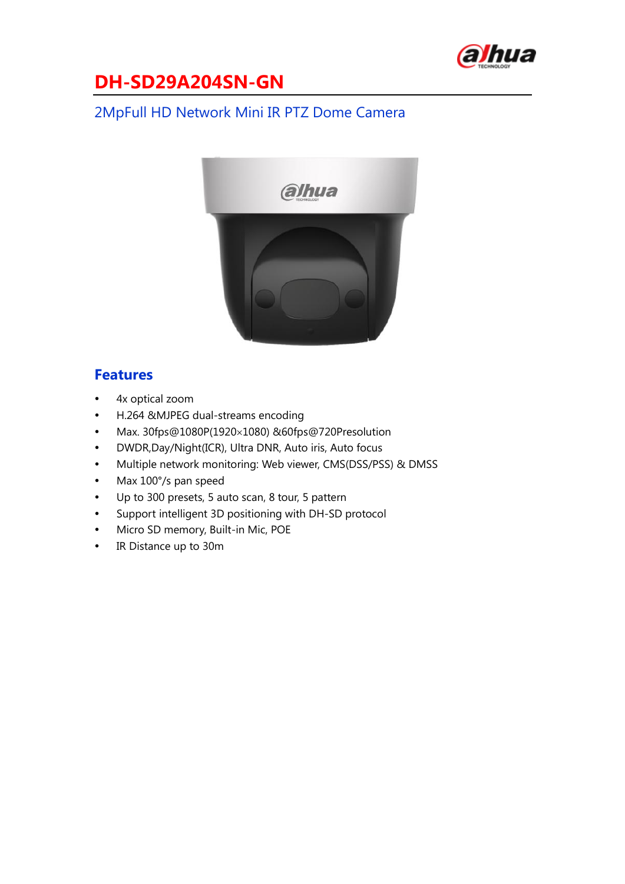

### 2MpFull HD Network Mini IR PTZ Dome Camera



#### **Features**

- 4x optical zoom
- H.264 &MJPEG dual-streams encoding
- $\bullet$  Max. 30fps@1080P(1920×1080) &60fps@720Presolution
- DWDR,Day/Night(ICR), Ultra DNR, Auto iris, Auto focus
- Multiple network monitoring: Web viewer, CMS(DSS/PSS) & DMSS
- Max 100°/s pan speed
- Up to 300 presets, 5 auto scan, 8 tour, 5 pattern
- Support intelligent 3D positioning with DH-SD protocol
- Micro SD memory, Built-in Mic, POE
- IR Distance up to 30m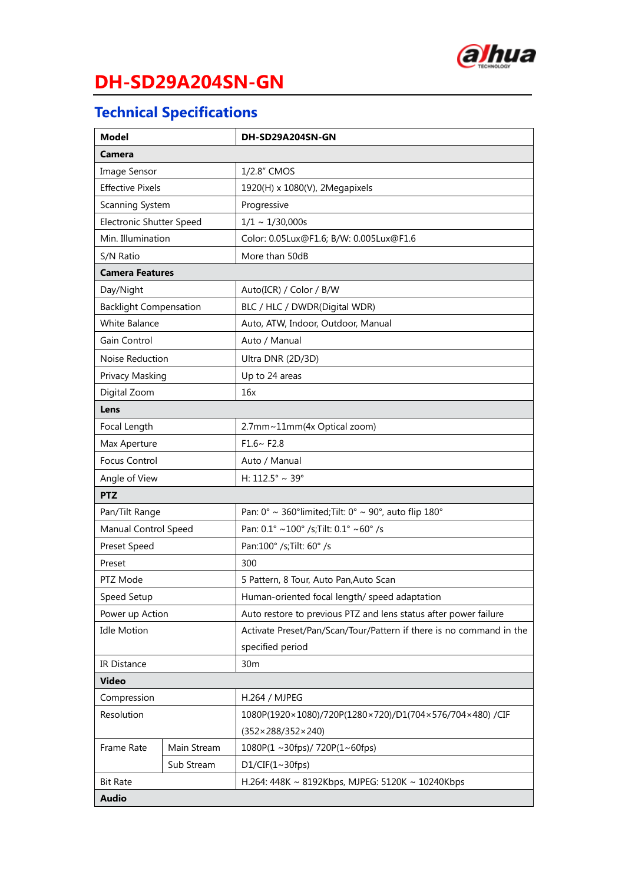

## **Technical Specifications**

| <b>Model</b>                    |             | DH-SD29A204SN-GN                                                                              |  |
|---------------------------------|-------------|-----------------------------------------------------------------------------------------------|--|
| Camera                          |             |                                                                                               |  |
| Image Sensor                    |             | 1/2.8" CMOS                                                                                   |  |
| <b>Effective Pixels</b>         |             | 1920(H) x 1080(V), 2Megapixels                                                                |  |
| Scanning System                 |             | Progressive                                                                                   |  |
| <b>Electronic Shutter Speed</b> |             | $1/1 \sim 1/30,000s$                                                                          |  |
| Min. Illumination               |             | Color: 0.05Lux@F1.6; B/W: 0.005Lux@F1.6                                                       |  |
| S/N Ratio                       |             | More than 50dB                                                                                |  |
| <b>Camera Features</b>          |             |                                                                                               |  |
| Day/Night                       |             | Auto(ICR) / Color / B/W                                                                       |  |
| <b>Backlight Compensation</b>   |             | BLC / HLC / DWDR(Digital WDR)                                                                 |  |
| <b>White Balance</b>            |             | Auto, ATW, Indoor, Outdoor, Manual                                                            |  |
| Gain Control                    |             | Auto / Manual                                                                                 |  |
| Noise Reduction                 |             | Ultra DNR (2D/3D)                                                                             |  |
| Privacy Masking                 |             | Up to 24 areas                                                                                |  |
| Digital Zoom                    |             | 16x                                                                                           |  |
| Lens                            |             |                                                                                               |  |
| Focal Length                    |             | 2.7mm~11mm(4x Optical zoom)                                                                   |  |
| Max Aperture                    |             | $F1.6~$ F2.8                                                                                  |  |
| <b>Focus Control</b>            |             | Auto / Manual                                                                                 |  |
| Angle of View                   |             | H: 112.5° ~ 39°                                                                               |  |
| <b>PTZ</b>                      |             |                                                                                               |  |
| Pan/Tilt Range                  |             | Pan: $0^{\circ} \sim 360^{\circ}$ limited; Tilt: $0^{\circ} \sim 90^{\circ}$ , auto flip 180° |  |
| Manual Control Speed            |             | Pan: 0.1° ~100° /s; Tilt: 0.1° ~60° /s                                                        |  |
| Preset Speed                    |             | Pan:100° /s; Tilt: 60° /s                                                                     |  |
| Preset                          |             | 300                                                                                           |  |
| PTZ Mode                        |             | 5 Pattern, 8 Tour, Auto Pan, Auto Scan                                                        |  |
| Speed Setup                     |             | Human-oriented focal length/ speed adaptation                                                 |  |
| Power up Action                 |             | Auto restore to previous PTZ and lens status after power failure                              |  |
| <b>Idle Motion</b>              |             | Activate Preset/Pan/Scan/Tour/Pattern if there is no command in the                           |  |
|                                 |             | specified period                                                                              |  |
| <b>IR Distance</b>              |             | 30 <sub>m</sub>                                                                               |  |
| <b>Video</b>                    |             |                                                                                               |  |
| Compression                     |             | H.264 / MJPEG                                                                                 |  |
| Resolution                      |             | 1080P(1920×1080)/720P(1280×720)/D1(704×576/704×480) /CIF                                      |  |
|                                 |             | $(352 \times 288/352 \times 240)$                                                             |  |
| Frame Rate                      | Main Stream | 1080P(1 ~ 30fps)/ 720P(1~60fps)                                                               |  |
|                                 | Sub Stream  | D1/CIF(1~30fps)                                                                               |  |
| <b>Bit Rate</b>                 |             | H.264: 448K ~ 8192Kbps, MJPEG: 5120K ~ 10240Kbps                                              |  |
| <b>Audio</b>                    |             |                                                                                               |  |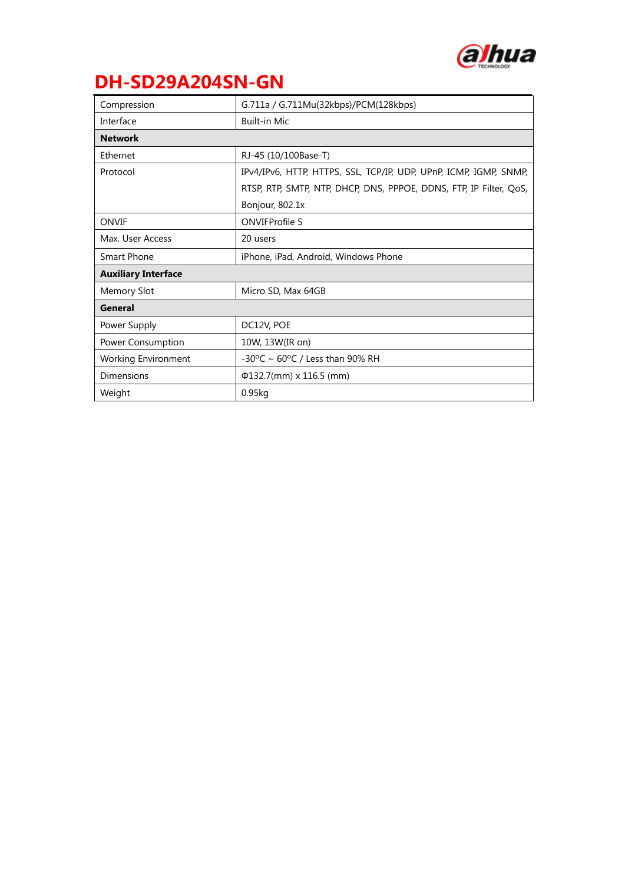

| Compression                | G.711a / G.711Mu(32kbps)/PCM(128kbps)                              |  |
|----------------------------|--------------------------------------------------------------------|--|
| Interface                  | <b>Built-in Mic</b>                                                |  |
| <b>Network</b>             |                                                                    |  |
| Ethernet                   | RJ-45 (10/100Base-T)                                               |  |
| Protocol                   | IPv4/IPv6, HTTP, HTTPS, SSL, TCP/IP, UDP, UPnP, ICMP, IGMP, SNMP,  |  |
|                            | RTSP, RTP, SMTP, NTP, DHCP, DNS, PPPOE, DDNS, FTP, IP Filter, QoS, |  |
|                            | Bonjour, 802.1x                                                    |  |
| ONVIF                      | <b>ONVIFProfile S</b>                                              |  |
| Max. User Access           | 20 users                                                           |  |
| <b>Smart Phone</b>         | iPhone, iPad, Android, Windows Phone                               |  |
| <b>Auxiliary Interface</b> |                                                                    |  |
| <b>Memory Slot</b>         | Micro SD, Max 64GB                                                 |  |
| General                    |                                                                    |  |
| Power Supply               | DC12V, POE                                                         |  |
| Power Consumption          | 10W, 13W(IR on)                                                    |  |
| <b>Working Environment</b> | $-30^{\circ}$ C ~ 60°C / Less than 90% RH                          |  |
| Dimensions                 | $\Phi$ 132.7(mm) x 116.5 (mm)                                      |  |
| Weight                     | $0.95$ kg                                                          |  |